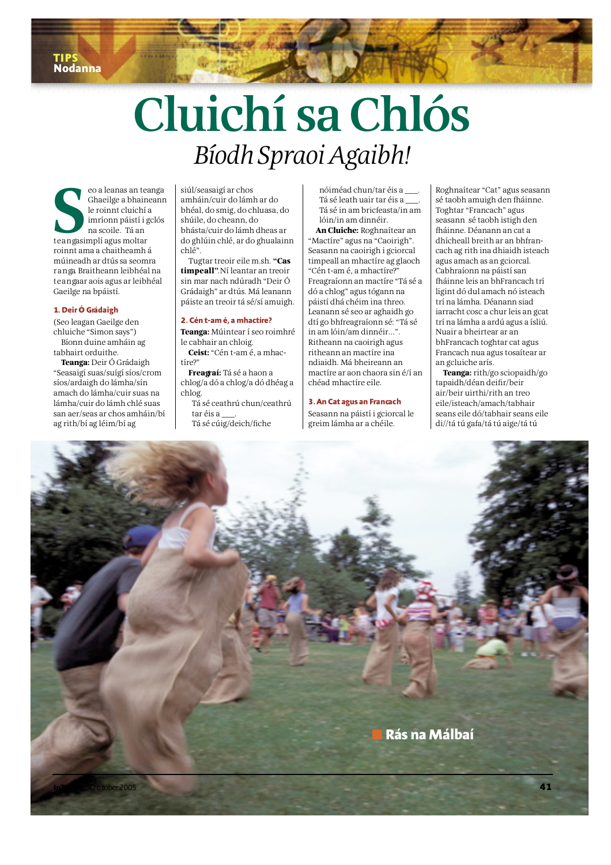# Cluichí sa Chlós Bíodh Spraoi Agaibh!

eo a leanas an te<br>Ghaeilge a bhain<br>le roinnt cluichí<br>imríonn páistí i :<br>na scoile. Tá an<br>teangasimplí agus moltar eo a leanas an teanga Ghaeilge a bhaineann le roinnt cluichí a imríonn páistí i gclós na scoile. Tá an roinnt ama a chaitheamh á múineadh ar dtús sa seomra r a nga Braitheann leibhéal na t e an gaar aois agus ar leibhéal Gaeilge na bpáistí.

#### 1. Deir Ó Grádaigh

(Seo leagan Gaeilge den chluiche "Simon says") Bíonn duine amháin ag tabhairt orduithe.

**Teanga:** Deir Ó Grádaigh "Seasaigí suas/suígí síos/crom síos/ardaigh do lámha/sín amach do lámha/cuir suas na lámha/cuir do lámh chlé suas san aer/seas ar chos amháin/bí ag rith/bí ag léim/bí ag

siúl/seasaigí ar chos amháin/cuir do lámh ar do bhéal, do smig, do chluasa, do shúile, do cheann, do bhásta/cuir do lámh dheas ar do ghlúin chlé, ar do ghualainn chlé".

Tugtar treoir eile m.sh. **" C a s timpeall**". Ní leantar an treoir sin mar nach ndúradh "Deir Ó Grádaigh" ar dtús. Má leanann páiste an treoir tá sé/sí amuigh.

#### **2. Cén t-am é, a mhactíre ?**

**Teanga:** Múintear í seo roimhré le cabhair an chloig. **Ceist:** "Cén t-am é, a mhac-

tíre?"

**Freagraí:** Tá sé a haon a chlog/a dó a chlog/a dó dhéag a chlog.

Tá sé ceathrú chun/ceathrú tar éis a \_\_\_. Tá sé cúig/deich/fiche

Tá sé in am bricfeasta/in am lóin/in am dinnéir. **An Cluiche:** Roghnaítear an

nóiméad chun/tar éis a \_\_\_. Tá sé leath uair tar éis a \_\_\_.

"Mactíre" agus na "Caoirigh". Seasann na caoirigh i gciorcal timpeall an mhactíre ag glaoch "Cén t-am é, a mhactíre?" F reagraíonn an mactíre "Tá sé a dó a chlog" agus tógann na páistí dhá chéim ina threo. Leanann sé seo ar aghaidh go dtí go bhfreagraíonn sé: "Tá sé in am lóin/am dinnéir…". Ritheann na caoirigh agus ritheann an mactíre ina ndiaidh. Má bheireann an m a ctíre ar aon chaora sin é/í an chéad mhactíre eile.

# **3. An Cat agus an Fra n ca c h**

Seasann na páistí i gciorcal le g reim lámha ar a chéile.

Roghnaítear "Cat" agus seasann sé taobh amuigh den fháinne. Toghtar "Francach" agus seasann sé taobh istigh den fháinne. Déanann an cat a dhícheall breith ar an bhfrancach ag rith ina dhiaidh isteach agus amach as an gciorcal. Cabhraíonn na páistí san fháinne leis an bhFrancach trí ligint dó dul amach nó isteach trí na lámha. Déanann siad iarracht cosc a chur leis an gcat trí na lámha a ardú agus a ísliú. Nuair a bheirtear ar an bhFrancach toghtar cat agus Francach nua agus tosaítear ar an gcluiche arís.

**Teanga:** rith/go sciopaidh/go tapaidh/déan deifir/beir  $air/be$ ir uirthi/rith an treo e ile/isteach/amach/tabhair seans eile dó/tabhair seans eile di//tá tú gafa/tá tú aige/tá tú